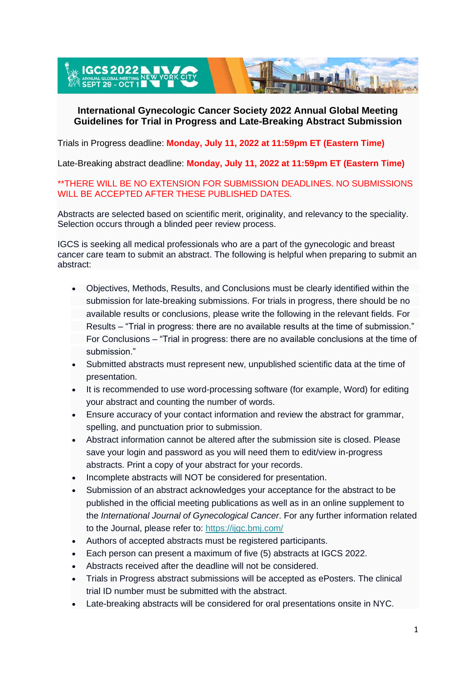EL**IGCS 2022 N. L. V. ANNUAL GLOBAL MEETING NEW YOR** 

### **International Gynecologic Cancer Society 2022 Annual Global Meeting Guidelines for Trial in Progress and Late-Breaking Abstract Submission**

Trials in Progress deadline: **Monday, July 11, 2022 at 11:59pm ET (Eastern Time)**

Late-Breaking abstract deadline: **Monday, July 11, 2022 at 11:59pm ET (Eastern Time)**

\*\*THERE WILL BE NO EXTENSION FOR SUBMISSION DEADLINES. NO SUBMISSIONS WILL BE ACCEPTED AFTER THESE PUBLISHED DATES.

Abstracts are selected based on scientific merit, originality, and relevancy to the speciality. Selection occurs through a blinded peer review process.

IGCS is seeking all medical professionals who are a part of the gynecologic and breast cancer care team to submit an abstract. The following is helpful when preparing to submit an abstract:

- Objectives, Methods, Results, and Conclusions must be clearly identified within the submission for late-breaking submissions. For trials in progress, there should be no available results or conclusions, please write the following in the relevant fields. For Results – "Trial in progress: there are no available results at the time of submission." For Conclusions – "Trial in progress: there are no available conclusions at the time of submission."
- Submitted abstracts must represent new, unpublished scientific data at the time of presentation.
- It is recommended to use word-processing software (for example, Word) for editing your abstract and counting the number of words.
- Ensure accuracy of your contact information and review the abstract for grammar, spelling, and punctuation prior to submission.
- Abstract information cannot be altered after the submission site is closed. Please save your login and password as you will need them to edit/view in-progress abstracts. Print a copy of your abstract for your records.
- Incomplete abstracts will NOT be considered for presentation.
- Submission of an abstract acknowledges your acceptance for the abstract to be published in the official meeting publications as well as in an online supplement to the *International Journal of Gynecological Cancer*. For any further information related to the Journal, please refer to: <https://ijgc.bmj.com/>
- Authors of accepted abstracts must be registered participants.
- Each person can present a maximum of five (5) abstracts at IGCS 2022.
- Abstracts received after the deadline will not be considered.
- Trials in Progress abstract submissions will be accepted as ePosters. The clinical trial ID number must be submitted with the abstract.
- Late-breaking abstracts will be considered for oral presentations onsite in NYC.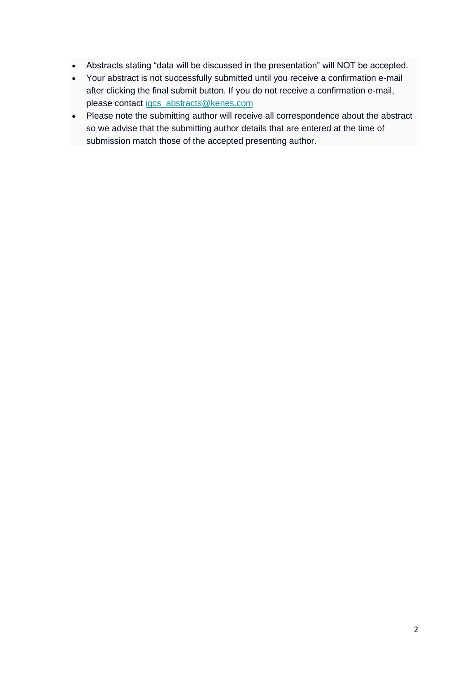- Abstracts stating "data will be discussed in the presentation" will NOT be accepted.
- Your abstract is not successfully submitted until you receive a confirmation e-mail after clicking the final submit button. If you do not receive a confirmation e-mail, please contact [igcs\\_abstracts@kenes.com](mailto:igcs_abstracts@kenes.com)
- Please note the submitting author will receive all correspondence about the abstract so we advise that the submitting author details that are entered at the time of submission match those of the accepted presenting author.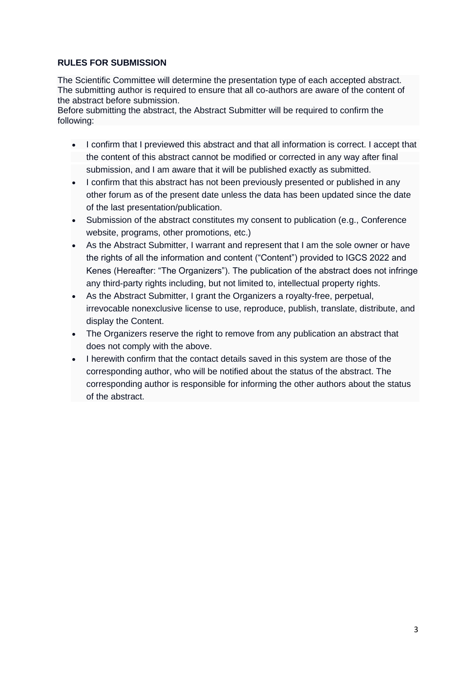### **RULES FOR SUBMISSION**

The Scientific Committee will determine the presentation type of each accepted abstract. The submitting author is required to ensure that all co-authors are aware of the content of the abstract before submission.

Before submitting the abstract, the Abstract Submitter will be required to confirm the following:

- I confirm that I previewed this abstract and that all information is correct. I accept that the content of this abstract cannot be modified or corrected in any way after final submission, and I am aware that it will be published exactly as submitted.
- I confirm that this abstract has not been previously presented or published in any other forum as of the present date unless the data has been updated since the date of the last presentation/publication.
- Submission of the abstract constitutes my consent to publication (e.g., Conference website, programs, other promotions, etc.)
- As the Abstract Submitter, I warrant and represent that I am the sole owner or have the rights of all the information and content ("Content") provided to IGCS 2022 and Kenes (Hereafter: "The Organizers"). The publication of the abstract does not infringe any third-party rights including, but not limited to, intellectual property rights.
- As the Abstract Submitter, I grant the Organizers a royalty-free, perpetual, irrevocable nonexclusive license to use, reproduce, publish, translate, distribute, and display the Content.
- The Organizers reserve the right to remove from any publication an abstract that does not comply with the above.
- I herewith confirm that the contact details saved in this system are those of the corresponding author, who will be notified about the status of the abstract. The corresponding author is responsible for informing the other authors about the status of the abstract.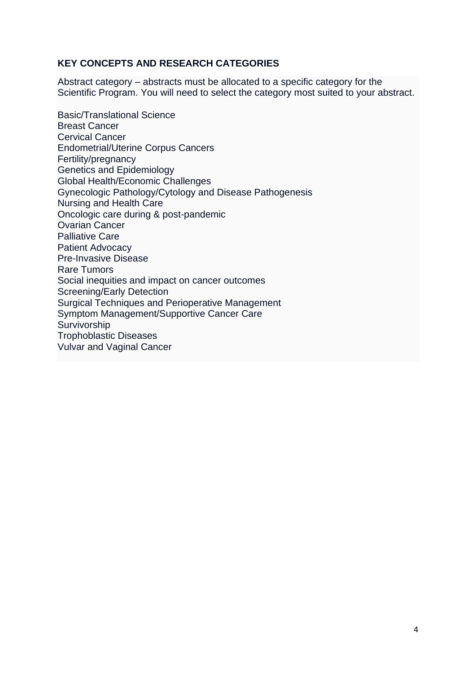# **KEY CONCEPTS AND RESEARCH CATEGORIES**

Abstract category – abstracts must be allocated to a specific category for the Scientific Program. You will need to select the category most suited to your abstract.

Basic/Translational Science Breast Cancer Cervical Cancer Endometrial/Uterine Corpus Cancers Fertility/pregnancy Genetics and Epidemiology Global Health/Economic Challenges Gynecologic Pathology/Cytology and Disease Pathogenesis Nursing and Health Care Oncologic care during & post-pandemic Ovarian Cancer Palliative Care Patient Advocacy Pre-Invasive Disease Rare Tumors Social inequities and impact on cancer outcomes Screening/Early Detection Surgical Techniques and Perioperative Management Symptom Management/Supportive Cancer Care Survivorship Trophoblastic Diseases Vulvar and Vaginal Cancer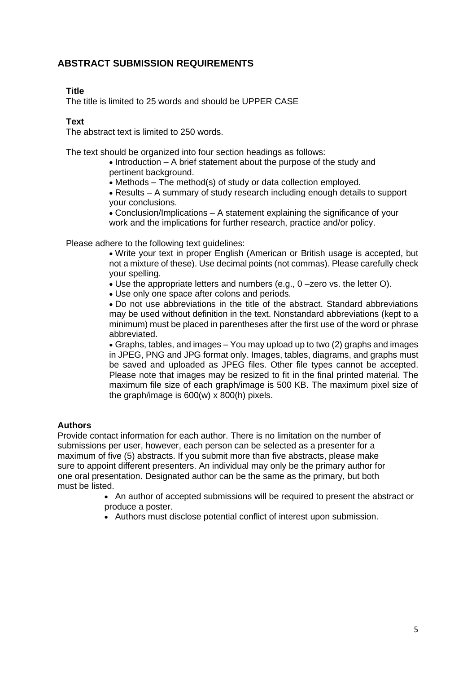# **ABSTRACT SUBMISSION REQUIREMENTS**

### **Title**

The title is limited to 25 words and should be UPPER CASE

### **Text**

The abstract text is limited to 250 words.

The text should be organized into four section headings as follows:

• Introduction – A brief statement about the purpose of the study and pertinent background.

• Methods – The method(s) of study or data collection employed.

• Results – A summary of study research including enough details to support your conclusions.

• Conclusion/Implications – A statement explaining the significance of your work and the implications for further research, practice and/or policy.

Please adhere to the following text guidelines:

• Write your text in proper English (American or British usage is accepted, but not a mixture of these). Use decimal points (not commas). Please carefully check your spelling.

• Use the appropriate letters and numbers (e.g., 0 –zero vs. the letter O).

• Use only one space after colons and periods.

• Do not use abbreviations in the title of the abstract. Standard abbreviations may be used without definition in the text. Nonstandard abbreviations (kept to a minimum) must be placed in parentheses after the first use of the word or phrase abbreviated.

• Graphs, tables, and images – You may upload up to two (2) graphs and images in JPEG, PNG and JPG format only. Images, tables, diagrams, and graphs must be saved and uploaded as JPEG files. Other file types cannot be accepted. Please note that images may be resized to fit in the final printed material. The maximum file size of each graph/image is 500 KB. The maximum pixel size of the graph/image is 600(w) x 800(h) pixels.

### **Authors**

Provide contact information for each author. There is no limitation on the number of submissions per user, however, each person can be selected as a presenter for a maximum of five (5) abstracts. If you submit more than five abstracts, please make sure to appoint different presenters. An individual may only be the primary author for one oral presentation. Designated author can be the same as the primary, but both must be listed.

> • An author of accepted submissions will be required to present the abstract or produce a poster.

• Authors must disclose potential conflict of interest upon submission.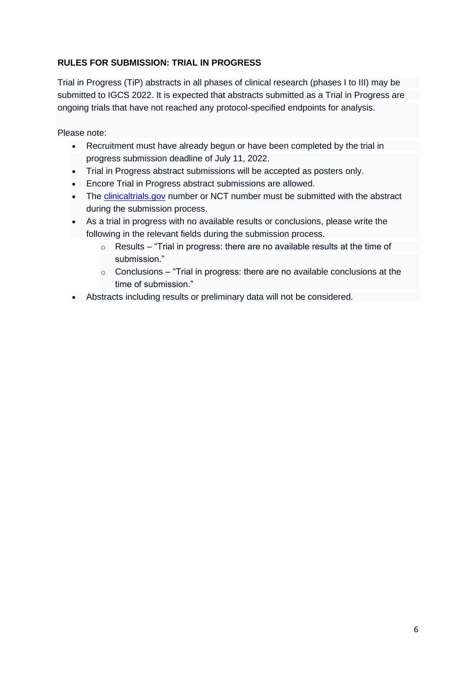### **RULES FOR SUBMISSION: TRIAL IN PROGRESS**

Trial in Progress (TiP) abstracts in all phases of clinical research (phases I to III) may be submitted to IGCS 2022. It is expected that abstracts submitted as a Trial in Progress are ongoing trials that have not reached any protocol-specified endpoints for analysis.

Please note:

- Recruitment must have already begun or have been completed by the trial in progress submission deadline of July 11, 2022.
- Trial in Progress abstract submissions will be accepted as posters only.
- Encore Trial in Progress abstract submissions are allowed.
- The [clinicaltrials.gov](https://clinicaltrials.gov/) number or NCT number must be submitted with the abstract during the submission process.
- As a trial in progress with no available results or conclusions, please write the following in the relevant fields during the submission process.
	- o Results "Trial in progress: there are no available results at the time of submission."
	- $\circ$  Conclusions "Trial in progress: there are no available conclusions at the time of submission."
- Abstracts including results or preliminary data will not be considered.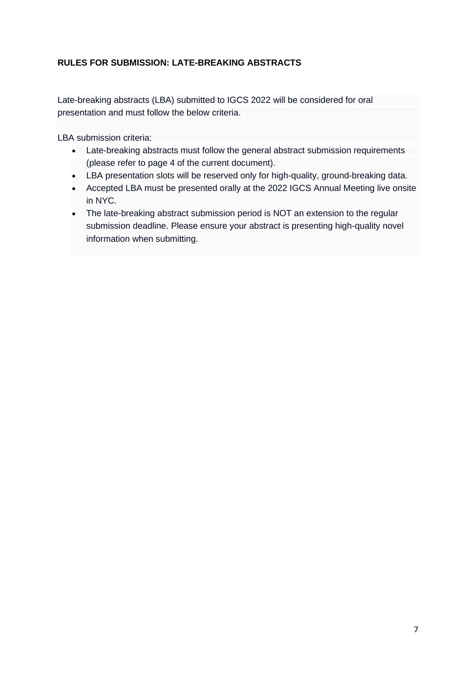# **RULES FOR SUBMISSION: LATE-BREAKING ABSTRACTS**

Late-breaking abstracts (LBA) submitted to IGCS 2022 will be considered for oral presentation and must follow the below criteria.

LBA submission criteria:

- Late-breaking abstracts must follow the general abstract submission requirements (please refer to page 4 of the current document).
- LBA presentation slots will be reserved only for high-quality, ground-breaking data.
- Accepted LBA must be presented orally at the 2022 IGCS Annual Meeting live onsite in NYC.
- The late-breaking abstract submission period is NOT an extension to the regular submission deadline. Please ensure your abstract is presenting high-quality novel information when submitting.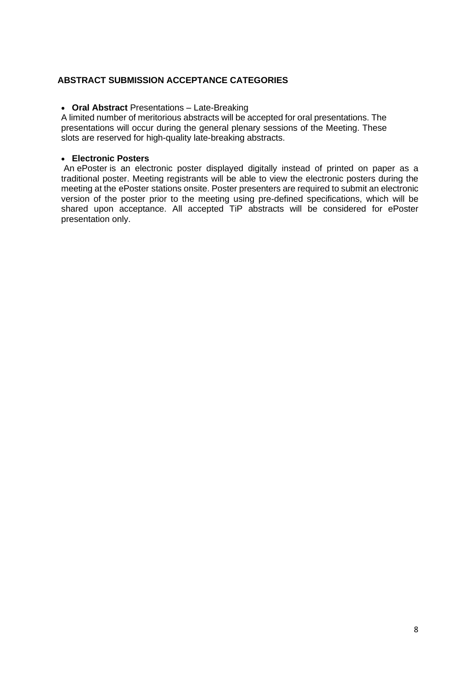### **ABSTRACT SUBMISSION ACCEPTANCE CATEGORIES**

### • **Oral Abstract** Presentations – Late-Breaking

A limited number of meritorious abstracts will be accepted for oral presentations. The presentations will occur during the general plenary sessions of the Meeting. These slots are reserved for high-quality late-breaking abstracts.

### • **Electronic Posters**

An ePoster is an electronic poster displayed digitally instead of printed on paper as a traditional poster. Meeting registrants will be able to view the electronic posters during the meeting at the ePoster stations onsite. Poster presenters are required to submit an electronic version of the poster prior to the meeting using pre-defined specifications, which will be shared upon acceptance. All accepted TiP abstracts will be considered for ePoster presentation only.